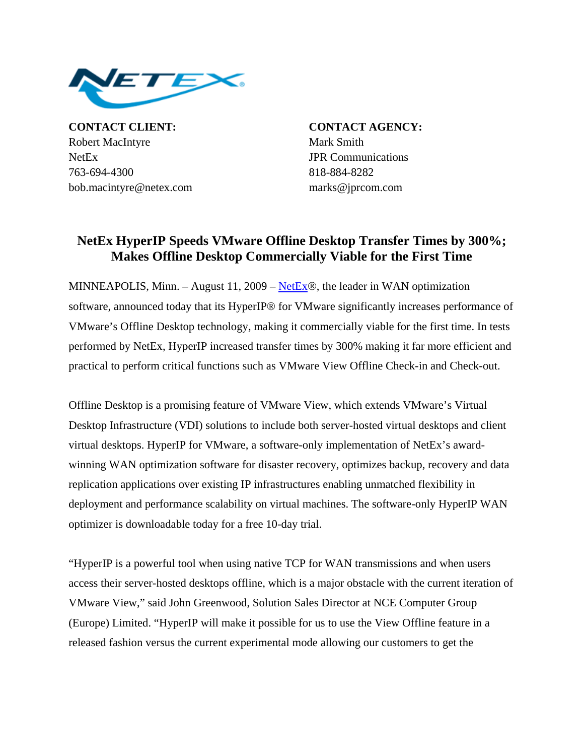

**CONTACT CLIENT: CONTACT AGENCY:** Robert MacIntyre Mark Smith NetEx JPR Communications 763-694-4300 818-884-8282 bob.macintyre@netex.com marks@jprcom.com

## **NetEx HyperIP Speeds VMware Offline Desktop Transfer Times by 300%; Makes Offline Desktop Commercially Viable for the First Time**

MINNEAPOLIS, Minn. – August 11, 2009 – [NetEx](http://www.netex.com/)®, the leader in WAN optimization software, announced today that its HyperIP® for VMware significantly increases performance of VMware's Offline Desktop technology, making it commercially viable for the first time. In tests performed by NetEx, HyperIP increased transfer times by 300% making it far more efficient and practical to perform critical functions such as VMware View Offline Check-in and Check-out.

Offline Desktop is a promising feature of VMware View, which extends VMware's Virtual Desktop Infrastructure (VDI) solutions to include both server-hosted virtual desktops and client virtual desktops. HyperIP for VMware, a software-only implementation of NetEx's awardwinning WAN optimization software for disaster recovery, optimizes backup, recovery and data replication applications over existing IP infrastructures enabling unmatched flexibility in deployment and performance scalability on virtual machines. The software-only HyperIP WAN optimizer is downloadable today for a free 10-day trial.

"HyperIP is a powerful tool when using native TCP for WAN transmissions and when users access their server-hosted desktops offline, which is a major obstacle with the current iteration of VMware View," said John Greenwood, Solution Sales Director at NCE Computer Group (Europe) Limited. "HyperIP will make it possible for us to use the View Offline feature in a released fashion versus the current experimental mode allowing our customers to get the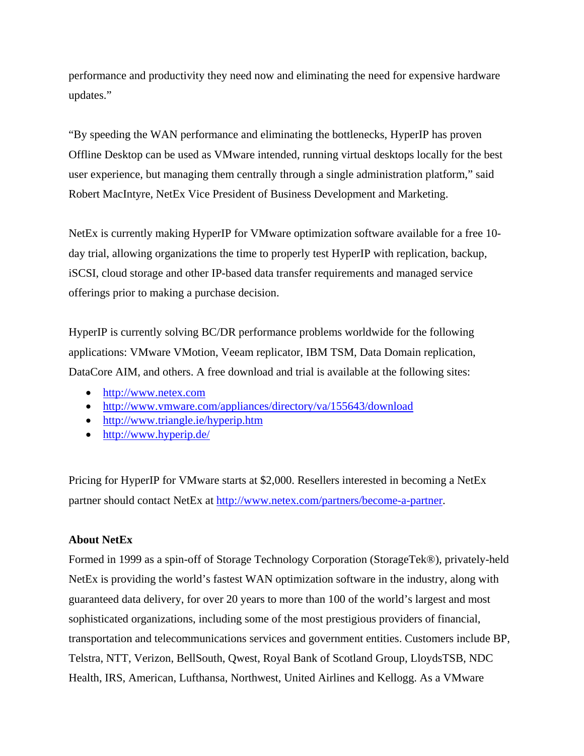performance and productivity they need now and eliminating the need for expensive hardware updates."

"By speeding the WAN performance and eliminating the bottlenecks, HyperIP has proven Offline Desktop can be used as VMware intended, running virtual desktops locally for the best user experience, but managing them centrally through a single administration platform," said Robert MacIntyre, NetEx Vice President of Business Development and Marketing.

NetEx is currently making HyperIP for VMware optimization software available for a free 10 day trial, allowing organizations the time to properly test HyperIP with replication, backup, iSCSI, cloud storage and other IP-based data transfer requirements and managed service offerings prior to making a purchase decision.

HyperIP is currently solving BC/DR performance problems worldwide for the following applications: VMware VMotion, Veeam replicator, IBM TSM, Data Domain replication, DataCore AIM, and others. A free download and trial is available at the following sites:

- [http://www.netex.com](http://www.netex.com/)
- <http://www.vmware.com/appliances/directory/va/155643/download>
- <http://www.triangle.ie/hyperip.htm>
- <http://www.hyperip.de/>

Pricing for HyperIP for VMware starts at \$2,000. Resellers interested in becoming a NetEx partner should contact NetEx at<http://www.netex.com/partners/become-a-partner>.

## **About NetEx**

Formed in 1999 as a spin-off of Storage Technology Corporation (StorageTek®), privately-held NetEx is providing the world's fastest WAN optimization software in the industry, along with guaranteed data delivery, for over 20 years to more than 100 of the world's largest and most sophisticated organizations, including some of the most prestigious providers of financial, transportation and telecommunications services and government entities. Customers include BP, Telstra, NTT, Verizon, BellSouth, Qwest, Royal Bank of Scotland Group, LloydsTSB, NDC Health, IRS, American, Lufthansa, Northwest, United Airlines and Kellogg. As a VMware